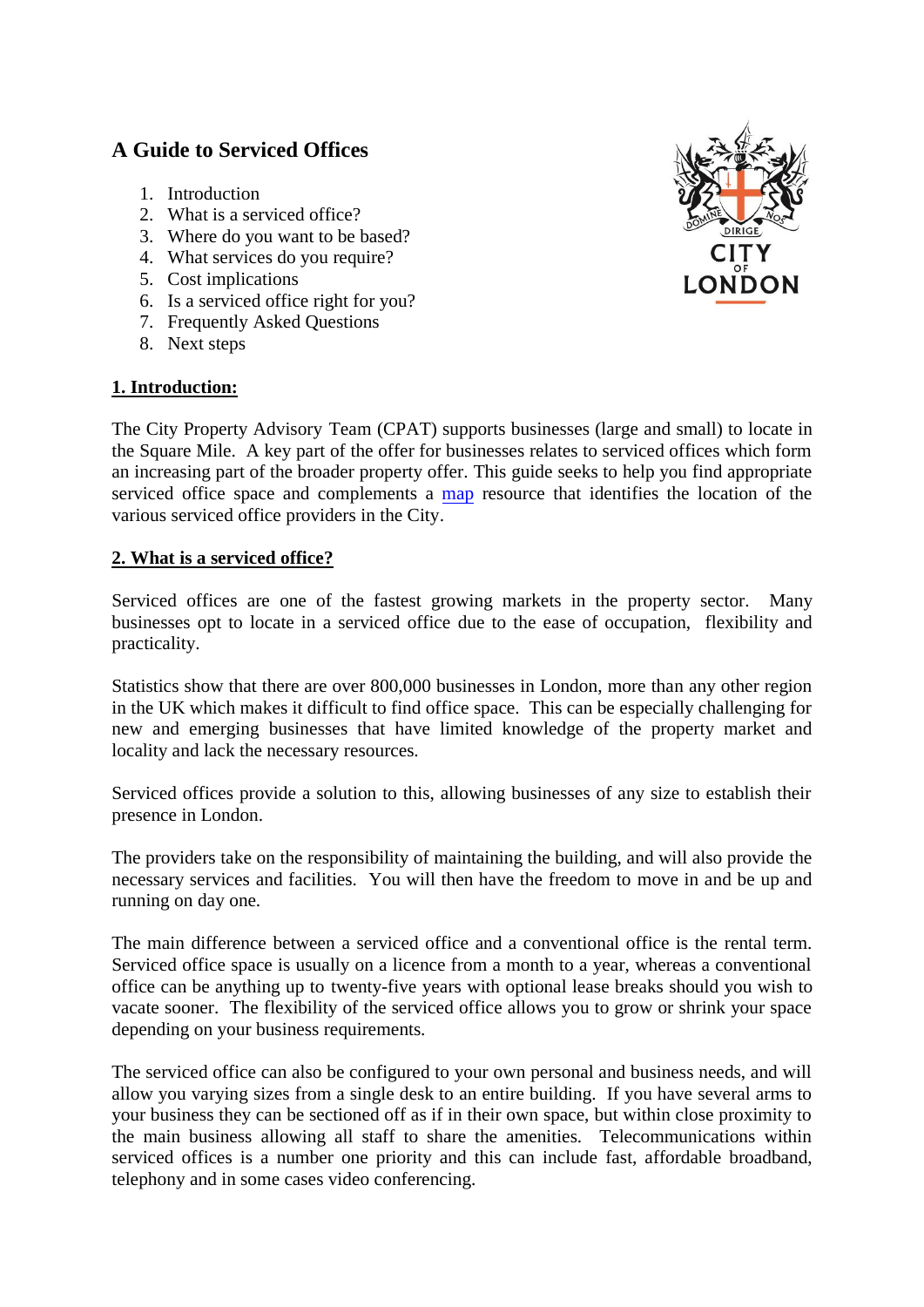# **A Guide to Serviced Offices**

- 1. Introduction
- 2. What is a serviced office?
- 3. Where do you want to be based?
- 4. What services do you require?
- 5. Cost implications
- 6. Is a serviced office right for you?
- 7. Frequently Asked Questions
- 8. Next steps

# **1. Introduction:**



The City Property Advisory Team (CPAT) supports businesses (large and small) to locate in the Square Mile. A key part of the offer for businesses relates to serviced offices which form an increasing part of the broader property offer. This guide seeks to help you find appropriate serviced office space and complements a [map](http://www.mapping.cityoflondon.gov.uk/geocortex/mapping/?viewer=compass&runworkflowbyid=Switch_layer_themes&LayerTheme=Show%20the%20Serviced%20Offices%20layers) resource that identifies the location of the various serviced office providers in the City.

# **2. What is a serviced office?**

Serviced offices are one of the fastest growing markets in the property sector. Many businesses opt to locate in a serviced office due to the ease of occupation, flexibility and practicality.

Statistics show that there are over 800,000 businesses in London, more than any other region in the UK which makes it difficult to find office space. This can be especially challenging for new and emerging businesses that have limited knowledge of the property market and locality and lack the necessary resources.

Serviced offices provide a solution to this, allowing businesses of any size to establish their presence in London.

The providers take on the responsibility of maintaining the building, and will also provide the necessary services and facilities. You will then have the freedom to move in and be up and running on day one.

The main difference between a serviced office and a conventional office is the rental term. Serviced office space is usually on a licence from a month to a year, whereas a conventional office can be anything up to twenty-five years with optional lease breaks should you wish to vacate sooner. The flexibility of the serviced office allows you to grow or shrink your space depending on your business requirements.

The serviced office can also be configured to your own personal and business needs, and will allow you varying sizes from a single desk to an entire building. If you have several arms to your business they can be sectioned off as if in their own space, but within close proximity to the main business allowing all staff to share the amenities. Telecommunications within serviced offices is a number one priority and this can include fast, affordable broadband, telephony and in some cases video conferencing.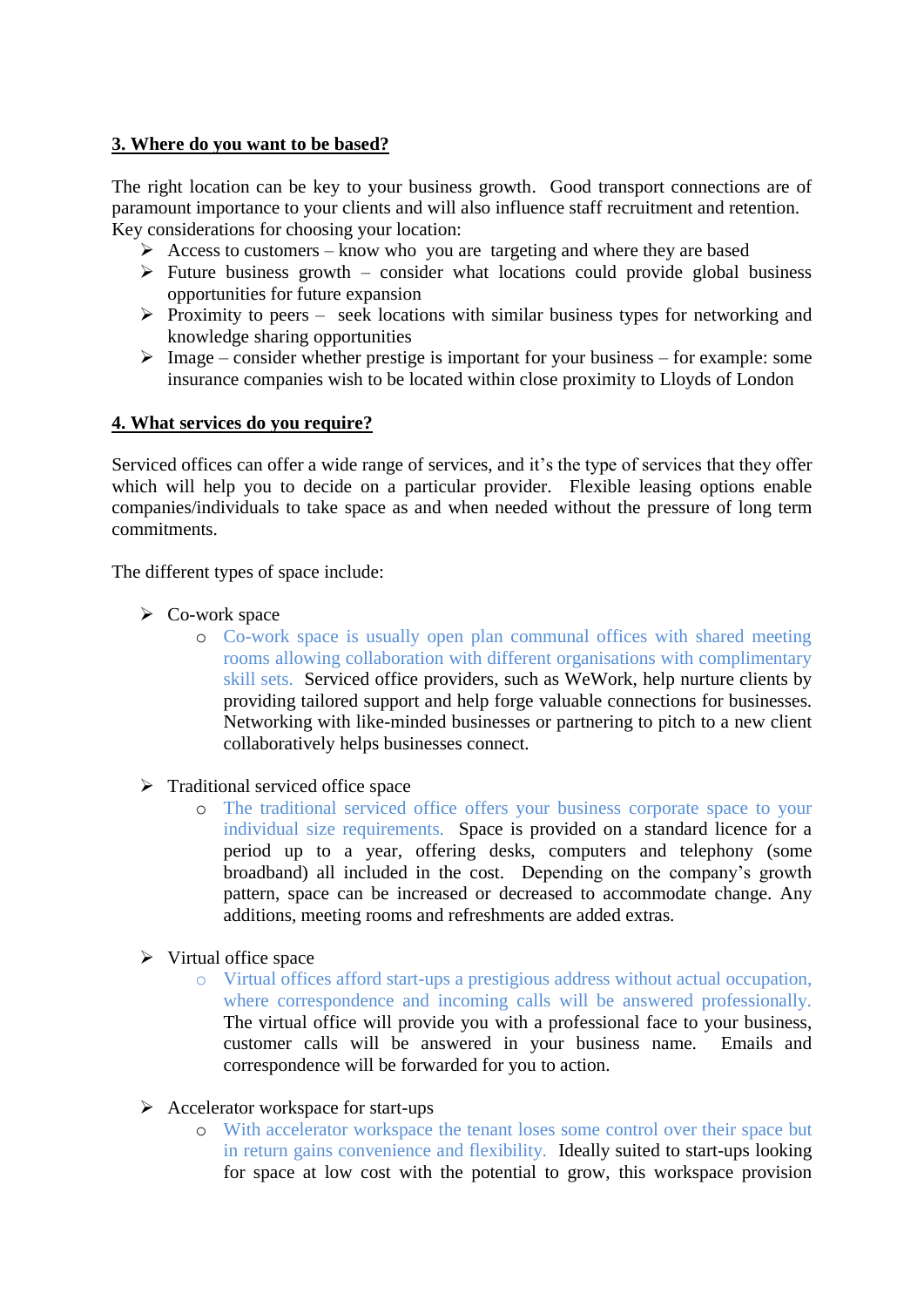## **3. Where do you want to be based?**

The right location can be key to your business growth. Good transport connections are of paramount importance to your clients and will also influence staff recruitment and retention. Key considerations for choosing your location:

- $\triangleright$  Access to customers know who you are targeting and where they are based
- $\triangleright$  Future business growth consider what locations could provide global business opportunities for future expansion
- $\triangleright$  Proximity to peers seek locations with similar business types for networking and knowledge sharing opportunities
- $\triangleright$  Image consider whether prestige is important for your business for example: some insurance companies wish to be located within close proximity to Lloyds of London

#### **4. What services do you require?**

Serviced offices can offer a wide range of services, and it's the type of services that they offer which will help you to decide on a particular provider. Flexible leasing options enable companies/individuals to take space as and when needed without the pressure of long term commitments.

The different types of space include:

- $\triangleright$  Co-work space
	- o Co-work space is usually open plan communal offices with shared meeting rooms allowing collaboration with different organisations with complimentary skill sets. Serviced office providers, such as WeWork, help nurture clients by providing tailored support and help forge valuable connections for businesses. Networking with like-minded businesses or partnering to pitch to a new client collaboratively helps businesses connect.
- $\triangleright$  Traditional serviced office space
	- o The traditional serviced office offers your business corporate space to your individual size requirements. Space is provided on a standard licence for a period up to a year, offering desks, computers and telephony (some broadband) all included in the cost. Depending on the company's growth pattern, space can be increased or decreased to accommodate change. Any additions, meeting rooms and refreshments are added extras.
- $\triangleright$  Virtual office space
	- o Virtual offices afford start-ups a prestigious address without actual occupation, where correspondence and incoming calls will be answered professionally. The virtual office will provide you with a professional face to your business, customer calls will be answered in your business name. Emails and correspondence will be forwarded for you to action.
- $\triangleright$  Accelerator workspace for start-ups
	- o With accelerator workspace the tenant loses some control over their space but in return gains convenience and flexibility. Ideally suited to start-ups looking for space at low cost with the potential to grow, this workspace provision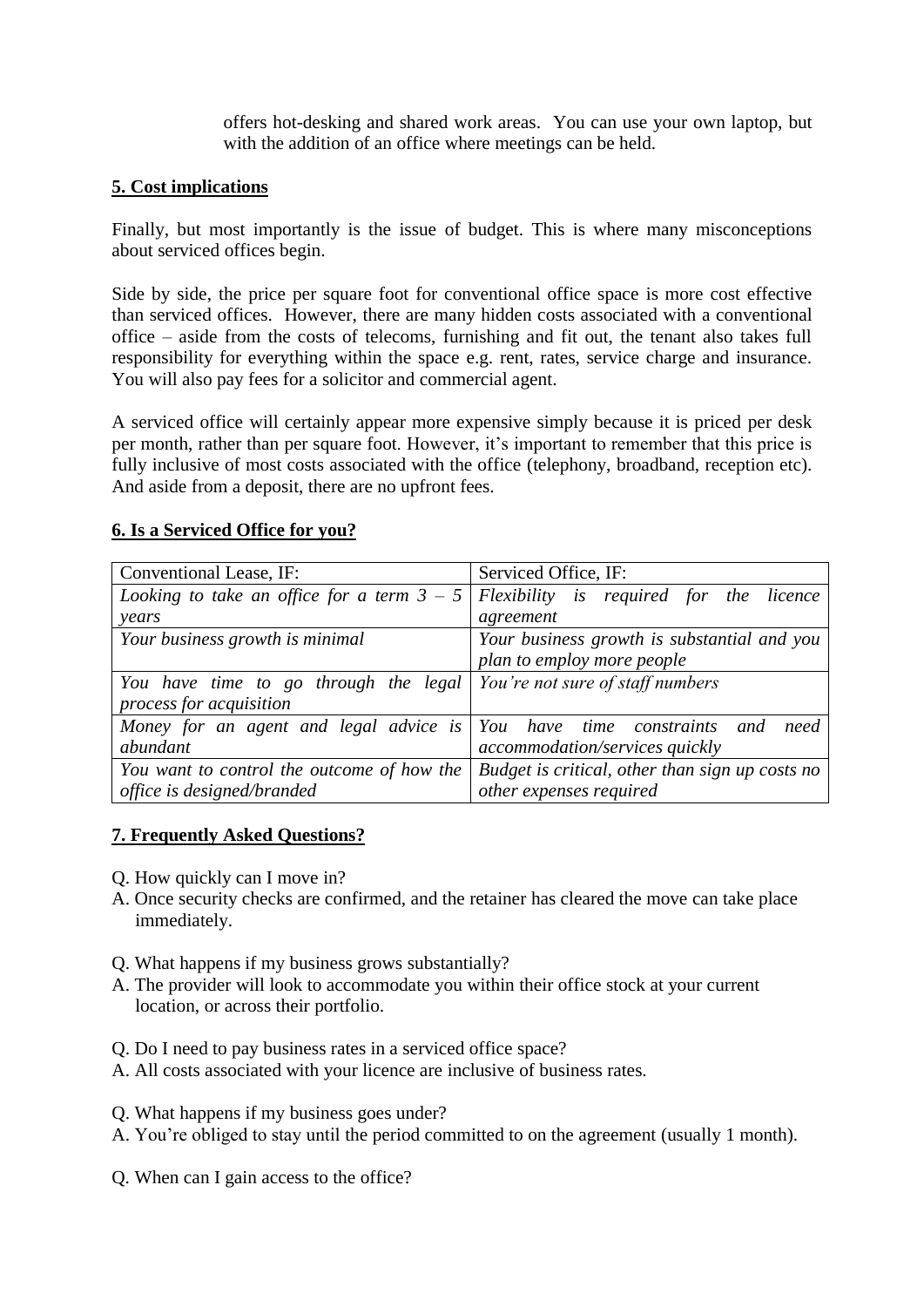offers hot-desking and shared work areas. You can use your own laptop, but with the addition of an office where meetings can be held.

## **5. Cost implications**

Finally, but most importantly is the issue of budget. This is where many misconceptions about serviced offices begin.

Side by side, the price per square foot for conventional office space is more cost effective than serviced offices. However, there are many hidden costs associated with a conventional office – aside from the costs of telecoms, furnishing and fit out, the tenant also takes full responsibility for everything within the space e.g. rent, rates, service charge and insurance. You will also pay fees for a solicitor and commercial agent.

A serviced office will certainly appear more expensive simply because it is priced per desk per month, rather than per square foot. However, it's important to remember that this price is fully inclusive of most costs associated with the office (telephony, broadband, reception etc). And aside from a deposit, there are no upfront fees.

#### **6. Is a Serviced Office for you?**

| Conventional Lease, IF:                                              | Serviced Office, IF:                            |
|----------------------------------------------------------------------|-------------------------------------------------|
| Looking to take an office for a term $3 - 5$                         | Flexibility is required for the licence         |
| years                                                                | agreement                                       |
| Your business growth is minimal                                      | Your business growth is substantial and you     |
|                                                                      | plan to employ more people                      |
| You have time to go through the legal                                | You're not sure of staff numbers                |
| process for acquisition                                              |                                                 |
| Money for an agent and legal advice is You have time constraints and | need                                            |
| abundant                                                             | accommodation/services quickly                  |
| You want to control the outcome of how the                           | Budget is critical, other than sign up costs no |
| office is designed/branded                                           | other expenses required                         |

## **7. Frequently Asked Questions?**

- Q. How quickly can I move in?
- A. Once security checks are confirmed, and the retainer has cleared the move can take place immediately.
- Q. What happens if my business grows substantially?
- A. The provider will look to accommodate you within their office stock at your current location, or across their portfolio.
- Q. Do I need to pay business rates in a serviced office space?
- A. All costs associated with your licence are inclusive of business rates.
- Q. What happens if my business goes under?
- A. You're obliged to stay until the period committed to on the agreement (usually 1 month).
- Q. When can I gain access to the office?